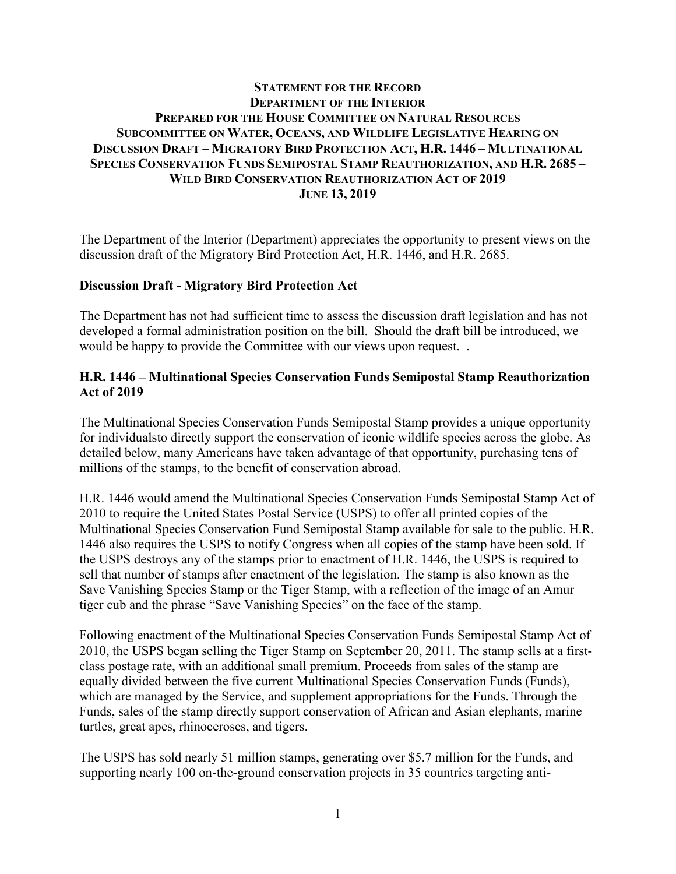# **STATEMENT FOR THE RECORD DEPARTMENT OF THE INTERIOR PREPARED FOR THE HOUSE COMMITTEE ON NATURAL RESOURCES SUBCOMMITTEE ON WATER, OCEANS, AND WILDLIFE LEGISLATIVE HEARING ON DISCUSSION DRAFT – MIGRATORY BIRD PROTECTION ACT, H.R. 1446 – MULTINATIONAL SPECIES CONSERVATION FUNDS SEMIPOSTAL STAMP REAUTHORIZATION, AND H.R. 2685 – WILD BIRD CONSERVATION REAUTHORIZATION ACT OF 2019 JUNE 13, 2019**

The Department of the Interior (Department) appreciates the opportunity to present views on the discussion draft of the Migratory Bird Protection Act, H.R. 1446, and H.R. 2685.

## **Discussion Draft - Migratory Bird Protection Act**

The Department has not had sufficient time to assess the discussion draft legislation and has not developed a formal administration position on the bill. Should the draft bill be introduced, we would be happy to provide the Committee with our views upon request. .

# **H.R. 1446 – Multinational Species Conservation Funds Semipostal Stamp Reauthorization Act of 2019**

The Multinational Species Conservation Funds Semipostal Stamp provides a unique opportunity for individualsto directly support the conservation of iconic wildlife species across the globe. As detailed below, many Americans have taken advantage of that opportunity, purchasing tens of millions of the stamps, to the benefit of conservation abroad.

H.R. 1446 would amend the Multinational Species Conservation Funds Semipostal Stamp Act of 2010 to require the United States Postal Service (USPS) to offer all printed copies of the Multinational Species Conservation Fund Semipostal Stamp available for sale to the public. H.R. 1446 also requires the USPS to notify Congress when all copies of the stamp have been sold. If the USPS destroys any of the stamps prior to enactment of H.R. 1446, the USPS is required to sell that number of stamps after enactment of the legislation. The stamp is also known as the Save Vanishing Species Stamp or the Tiger Stamp, with a reflection of the image of an Amur tiger cub and the phrase "Save Vanishing Species" on the face of the stamp.

Following enactment of the Multinational Species Conservation Funds Semipostal Stamp Act of 2010, the USPS began selling the Tiger Stamp on September 20, 2011. The stamp sells at a firstclass postage rate, with an additional small premium. Proceeds from sales of the stamp are equally divided between the five current Multinational Species Conservation Funds (Funds), which are managed by the Service, and supplement appropriations for the Funds. Through the Funds, sales of the stamp directly support conservation of African and Asian elephants, marine turtles, great apes, rhinoceroses, and tigers.

The USPS has sold nearly 51 million stamps, generating over \$5.7 million for the Funds, and supporting nearly 100 on-the-ground conservation projects in 35 countries targeting anti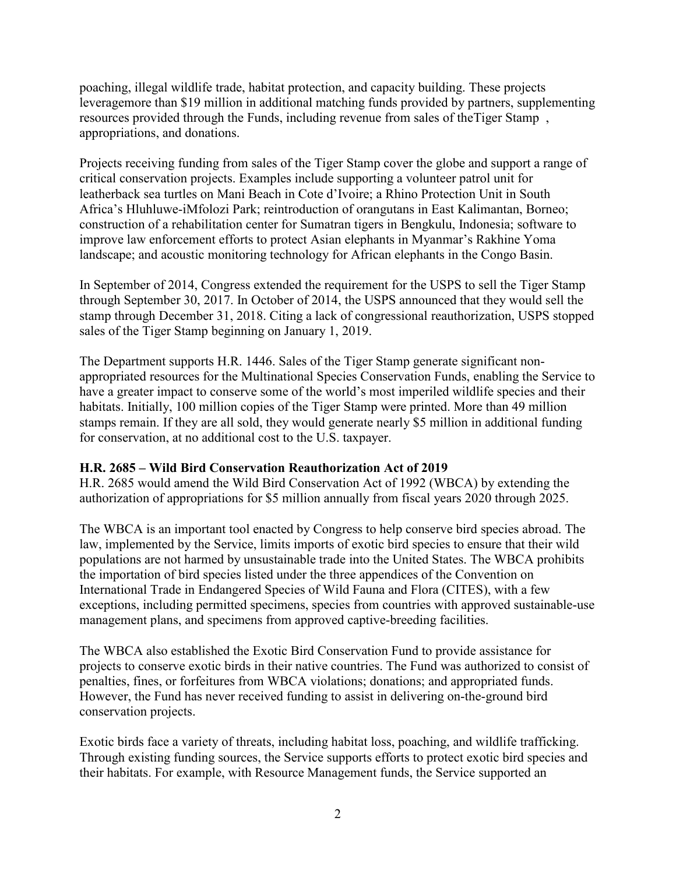poaching, illegal wildlife trade, habitat protection, and capacity building. These projects leveragemore than \$19 million in additional matching funds provided by partners, supplementing resources provided through the Funds, including revenue from sales of theTiger Stamp , appropriations, and donations.

Projects receiving funding from sales of the Tiger Stamp cover the globe and support a range of critical conservation projects. Examples include supporting a volunteer patrol unit for leatherback sea turtles on Mani Beach in Cote d'Ivoire; a Rhino Protection Unit in South Africa's Hluhluwe-iMfolozi Park; reintroduction of orangutans in East Kalimantan, Borneo; construction of a rehabilitation center for Sumatran tigers in Bengkulu, Indonesia; software to improve law enforcement efforts to protect Asian elephants in Myanmar's Rakhine Yoma landscape; and acoustic monitoring technology for African elephants in the Congo Basin.

In September of 2014, Congress extended the requirement for the USPS to sell the Tiger Stamp through September 30, 2017. In October of 2014, the USPS announced that they would sell the stamp through December 31, 2018. Citing a lack of congressional reauthorization, USPS stopped sales of the Tiger Stamp beginning on January 1, 2019.

The Department supports H.R. 1446. Sales of the Tiger Stamp generate significant nonappropriated resources for the Multinational Species Conservation Funds, enabling the Service to have a greater impact to conserve some of the world's most imperiled wildlife species and their habitats. Initially, 100 million copies of the Tiger Stamp were printed. More than 49 million stamps remain. If they are all sold, they would generate nearly \$5 million in additional funding for conservation, at no additional cost to the U.S. taxpayer.

## **H.R. 2685 – Wild Bird Conservation Reauthorization Act of 2019**

H.R. 2685 would amend the Wild Bird Conservation Act of 1992 (WBCA) by extending the authorization of appropriations for \$5 million annually from fiscal years 2020 through 2025.

The WBCA is an important tool enacted by Congress to help conserve bird species abroad. The law, implemented by the Service, limits imports of exotic bird species to ensure that their wild populations are not harmed by unsustainable trade into the United States. The WBCA prohibits the importation of bird species listed under the three appendices of the Convention on International Trade in Endangered Species of Wild Fauna and Flora (CITES), with a few exceptions, including permitted specimens, species from countries with approved sustainable-use management plans, and specimens from approved captive-breeding facilities.

The WBCA also established the Exotic Bird Conservation Fund to provide assistance for projects to conserve exotic birds in their native countries. The Fund was authorized to consist of penalties, fines, or forfeitures from WBCA violations; donations; and appropriated funds. However, the Fund has never received funding to assist in delivering on-the-ground bird conservation projects.

Exotic birds face a variety of threats, including habitat loss, poaching, and wildlife trafficking. Through existing funding sources, the Service supports efforts to protect exotic bird species and their habitats. For example, with Resource Management funds, the Service supported an